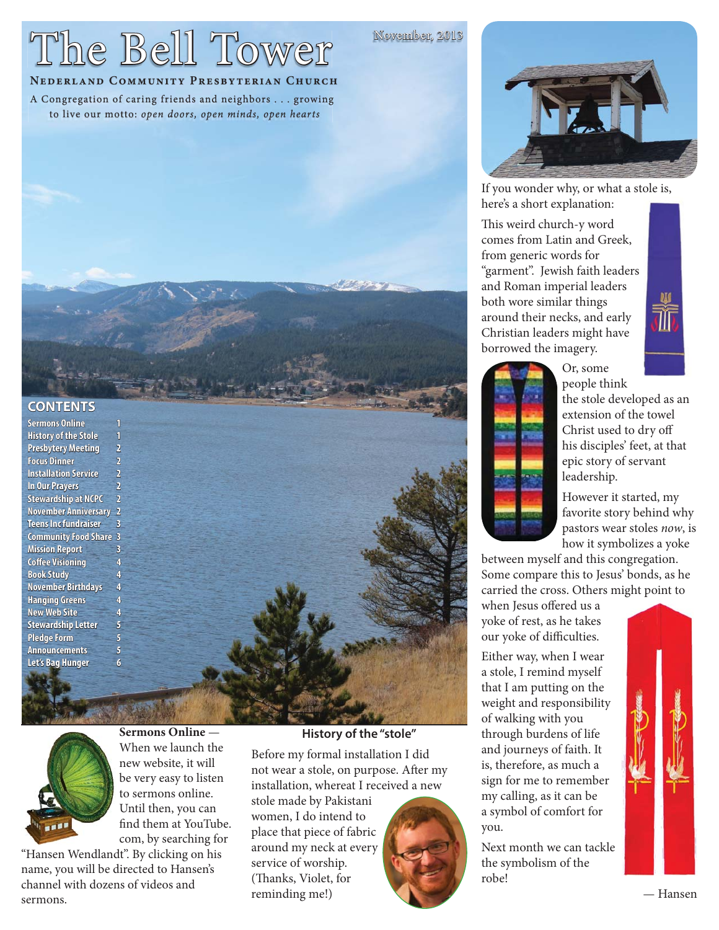# The Bell Tower

November, 2013

# **NEDERLAND COMMUNITY PRESBYTERIAN CHURCH**

A Congregation of caring friends and neighbors . . . growing to live our motto: open doors, open minds, open hearts



If you wonder why, or what a stole is, here's a short explanation:

This weird church-y word comes from Latin and Greek, from generic words for "garment". Jewish faith leaders and Roman imperial leaders both wore similar things around their necks, and early Christian leaders might have borrowed the imagery.





people think the stole developed as an extension of the towel Christ used to dry off his disciples' feet, at that epic story of servant leadership.

However it started, my favorite story behind why pastors wear stoles now, is how it symbolizes a yoke

between myself and this congregation. Some compare this to Jesus' bonds, as he carried the cross. Others might point to

Or, some

when Jesus offered us a yoke of rest, as he takes our yoke of difficulties.

Either way, when I wear a stole, I remind myself that I am putting on the weight and responsibility of walking with you through burdens of life and journeys of faith. It is, therefore, as much a sign for me to remember my calling, as it can be a symbol of comfort for you.

Next month we can tackle the symbolism of the robe!



# **CONTENTS ONTENTS**

**Sermons Online History of the Stole Presbytery Meeting Focus Dinner Installation Service In Our Prayers Stewardship at NCPC November Anniversary** 2 **Teens Inc fundraiser** 3 **Community Food Share ommunity 3 Mission Report Coffee Visioning Book Study November Birthdays Hanging Greens anging 4 New Web Site Stewardship Letter** 5 **Pledge Form Announcements Let's Bag Hunger** 



**Sermons Online** — When we launch the new website, it will be very easy to listen to sermons online. Until then, you can find them at YouTube. com, by searching for

"Hansen Wendlandt". By clicking on his name, you will be directed to Hansen's channel with dozens of videos and sermons.

#### **History of the "stole"**

Before my formal installation I did not wear a stole, on purpose. After my installation, whereat I received a new

stole made by Pakistani women, I do intend to place that piece of fabric around my neck at every service of worship. (Thanks, Violet, for reminding me!)



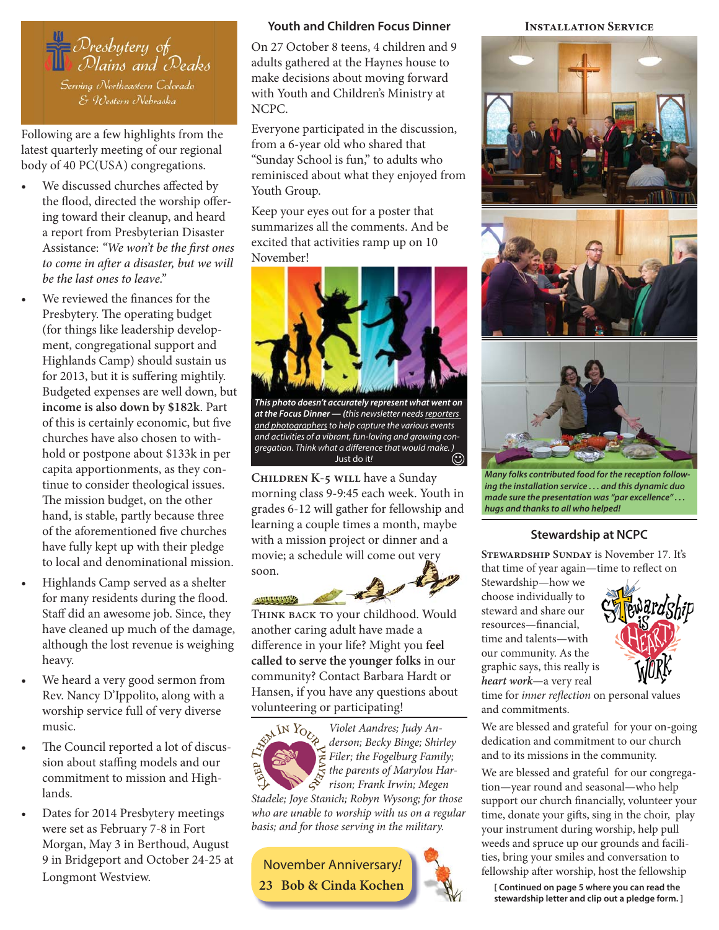

Following are a few highlights from the latest quarterly meeting of our regional body of 40 PC(USA) congregations.

- We discussed churches affected by the flood, directed the worship offering toward their cleanup, and heard a report from Presbyterian Disaster Assistance: "We won't be the first ones to come in after a disaster, but we will *be the last ones to leave."*
- We reviewed the finances for the Presbytery. The operating budget (for things like leadership development, congregational support and Highlands Camp) should sustain us for 2013, but it is suffering mightily. Budgeted expenses are well down, but **income is also down by \$182k**. Part of this is certainly economic, but five churches have also chosen to withhold or postpone about \$133k in per capita apportionments, as they continue to consider theological issues. The mission budget, on the other hand, is stable, partly because three of the aforementioned five churches have fully kept up with their pledge to local and denominational mission.
- Highlands Camp served as a shelter for many residents during the flood. Staff did an awesome job. Since, they have cleaned up much of the damage, although the lost revenue is weighing heavy.
- We heard a very good sermon from Rev. Nancy D'Ippolito, along with a worship service full of very diverse music.
- The Council reported a lot of discussion about staffing models and our commitment to mission and Highlands.
- Dates for 2014 Presbytery meetings were set as February 7-8 in Fort Morgan, May 3 in Berthoud, August 9 in Bridgeport and October 24-25 at Longmont Westview.

#### **Youth and Children Focus Dinner**

On 27 October 8 teens, 4 children and 9 adults gathered at the Haynes house to make decisions about moving forward with Youth and Children's Ministry at NCPC.

Everyone participated in the discussion, from a 6-year old who shared that "Sunday School is fun," to adults who reminisced about what they enjoyed from Youth Group.

Keep your eyes out for a poster that summarizes all the comments. And be excited that activities ramp up on 10 November!



*This photo doesn't accurately represent what went on at the Focus Dinner — (*this newsletter needs reporters and photographers to help capture the various events and activities of a vibrant, fun-loving and growing congregation. Think what a difference that would make. )<br>Uust do it! (C) Just do it!

**Children K-5 will** have a Sunday morning class 9-9:45 each week. Youth in grades 6-12 will gather for fellowship and learning a couple times a month, maybe with a mission project or dinner and a movie; a schedule will come out very soon.

499999999992 Think back to your childhood. Would another caring adult have made a difference in your life? Might you feel **called to serve the younger folks** in our community? Contact Barbara Hardt or Hansen, if you have any questions about volunteering or participating!



Violet Aandres; Judy Anderson; Becky Binge; Shirley  $\sum_{k=1}^{\infty}$  Filer; the Fogelburg Family;  $\overline{S}$  the parents of Marylou Har- $\hat{S}$  the purems of the film  $\hat{S}$ 

Stadele; Joye Stanich; Robyn Wysong; for those who are unable to worship with us on a regular basis; and for those serving in the military.

November Anniversary!









*Many folks contributed food for the reception following the installation service . . . and this dynamic duo made sure the presentation was "par excellence" . . . hugs and thanks to all who helped!*

#### **Stewardship at NCPC**

**Stewardship Sunday** is November 17. It's that time of year again-time to reflect on

Stewardship—how we choose individually to steward and share our resources—financial, time and talents—with our community. As the graphic says, this really is **heart work**—a very real



time for inner reflection on personal values and commitments.

We are blessed and grateful for your on-going dedication and commitment to our church and to its missions in the community.

We are blessed and grateful for our congregation—year round and seasonal—who help support our church financially, volunteer your time, donate your gifts, sing in the choir, play your instrument during worship, help pull weeds and spruce up our grounds and facilities, bring your smiles and conversation to fellowship after worship, host the fellowship

**23 Bob & Cinda Kochen [ Continued on page 5 where you can read the stewardship letter and clip out a pledge form. ]**

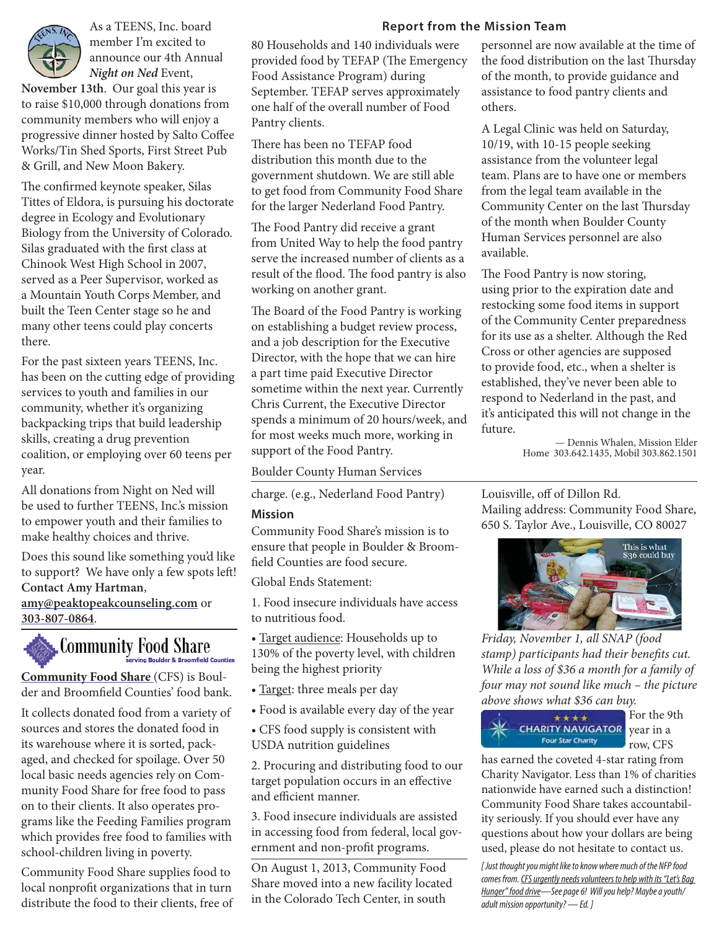

member I'm excited to announce our 4th Annual **Night on Ned** Event,

**November 13th**. Our goal this year is to raise \$10,000 through donations from community members who will enjoy a progressive dinner hosted by Salto Coffee Works/Tin Shed Sports, First Street Pub & Grill, and New Moon Bakery.

The confirmed keynote speaker, Silas Tittes of Eldora, is pursuing his doctorate degree in Ecology and Evolutionary Biology from the University of Colorado. Silas graduated with the first class at Chinook West High School in 2007, served as a Peer Supervisor, worked as a Mountain Youth Corps Member, and built the Teen Center stage so he and many other teens could play concerts there.

For the past sixteen years TEENS, Inc. has been on the cutting edge of providing services to youth and families in our community, whether it's organizing backpacking trips that build leadership skills, creating a drug prevention coalition, or employing over 60 teens per year.

All donations from Night on Ned will be used to further TEENS, Inc.'s mission to empower youth and their families to make healthy choices and thrive.

Does this sound like something you'd like to support? We have only a few spots left! **Contact Amy Hartman**,

**amy@peaktopeakcounseling.com** or **303-807-0864**.

# Community Food Share

**Community Food Share** (CFS) is Boulder and Broomfield Counties' food bank.

It collects donated food from a variety of sources and stores the donated food in its warehouse where it is sorted, packaged, and checked for spoilage. Over 50 local basic needs agencies rely on Community Food Share for free food to pass on to their clients. It also operates programs like the Feeding Families program which provides free food to families with school-children living in poverty.

Community Food Share supplies food to local nonprofit organizations that in turn distribute the food to their clients, free of

#### As a TEENS, Inc. board **Report from the Mission Team**

80 Households and 140 individuals were provided food by TEFAP (The Emergency Food Assistance Program) during September. TEFAP serves approximately one half of the overall number of Food Pantry clients.

There has been no TEFAP food distribution this month due to the government shutdown. We are still able to get food from Community Food Share for the larger Nederland Food Pantry.

The Food Pantry did receive a grant from United Way to help the food pantry serve the increased number of clients as a result of the flood. The food pantry is also working on another grant.

The Board of the Food Pantry is working on establishing a budget review process, and a job description for the Executive Director, with the hope that we can hire a part time paid Executive Director sometime within the next year. Currently Chris Current, the Executive Director spends a minimum of 20 hours/week, and for most weeks much more, working in support of the Food Pantry.

Boulder County Human Services

charge. (e.g., Nederland Food Pantry)

#### **Mission**

Community Food Share's mission is to ensure that people in Boulder & Broomfield Counties are food secure.

Global Ends Statement:

1. Food insecure individuals have access to nutritious food.

• Target audience: Households up to 130% of the poverty level, with children being the highest priority

- Target: three meals per day
- Food is available every day of the year
- CFS food supply is consistent with USDA nutrition guidelines

2. Procuring and distributing food to our target population occurs in an effective and efficient manner.

3. Food insecure individuals are assisted in accessing food from federal, local government and non-profit programs.

On August 1, 2013, Community Food Share moved into a new facility located in the Colorado Tech Center, in south

personnel are now available at the time of the food distribution on the last Thursday of the month, to provide guidance and assistance to food pantry clients and others.

A Legal Clinic was held on Saturday, 10/19, with 10-15 people seeking assistance from the volunteer legal team. Plans are to have one or members from the legal team available in the Community Center on the last Thursday of the month when Boulder County Human Services personnel are also available.

The Food Pantry is now storing, using prior to the expiration date and restocking some food items in support of the Community Center preparedness for its use as a shelter. Although the Red Cross or other agencies are supposed to provide food, etc., when a shelter is established, they've never been able to respond to Nederland in the past, and it's anticipated this will not change in the future.

— Dennis Whalen, Mission Elder Home 303.642.1435, Mobil 303.862.1501

Louisville, off of Dillon Rd. Mailing address: Community Food Share, 650 S. Taylor Ave., Louisville, CO 80027



Friday, November 1, all SNAP (food stamp) participants had their benefits cut. While a loss of \$36 a month for a family of four may not sound like much – the picture above shows what \$36 can buy.



For the 9th row, CFS

has earned the coveted 4-star rating from Charity Navigator. Less than 1% of charities nationwide have earned such a distinction! Community Food Share takes accountability seriously. If you should ever have any questions about how your dollars are being used, please do not hesitate to contact us.

*[ Just thought you might like to know where much of the NFP food comes from. CFS urgently needs volunteers to help with its "Let's Bag Hunger" food drive—See page 6! Will you help? Maybe a youth/ adult mission opportunity? — Ed. ]*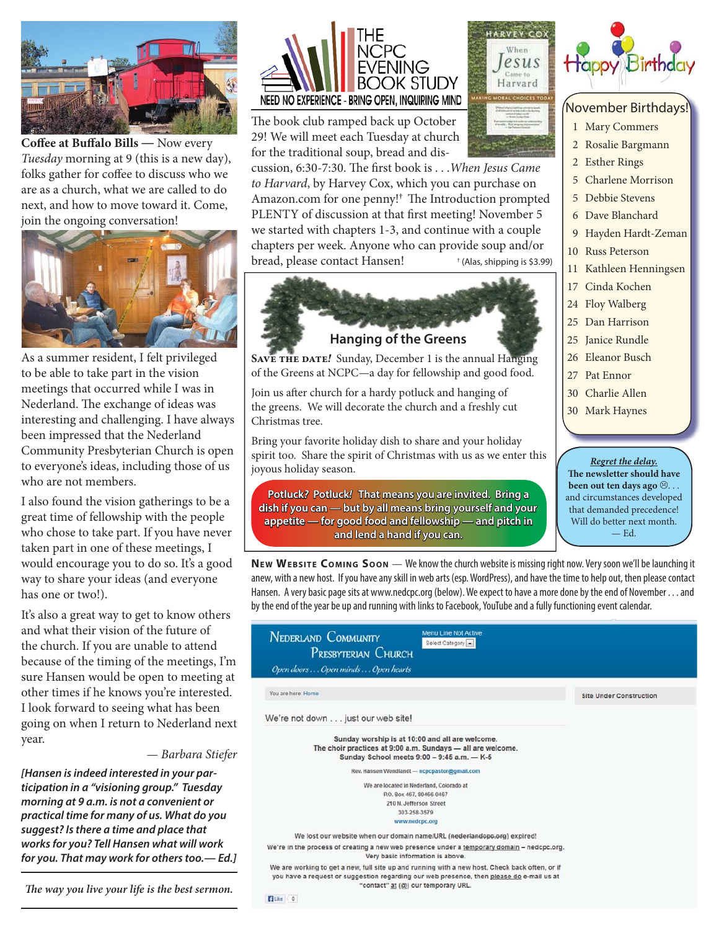

**Coffee at Buffalo Bills — Now every** Tuesday morning at 9 (this is a new day), folks gather for coffee to discuss who we are as a church, what we are called to do next, and how to move toward it. Come, join the ongoing conversation!



As a summer resident, I felt privileged to be able to take part in the vision meetings that occurred while I was in Nederland. The exchange of ideas was interesting and challenging. I have always been impressed that the Nederland Community Presbyterian Church is open to everyone's ideas, including those of us who are not members.

I also found the vision gatherings to be a great time of fellowship with the people who chose to take part. If you have never taken part in one of these meetings, I would encourage you to do so. It's a good way to share your ideas (and everyone has one or two!).

It's also a great way to get to know others and what their vision of the future of the church. If you are unable to attend because of the timing of the meetings, I'm sure Hansen would be open to meeting at other times if he knows you're interested. I look forward to seeing what has been going on when I return to Nederland next year.



*[Hansen is indeed interested in your participation in a "visioning group." Tuesday morning at 9 a.m. is not a convenient or practical time for many of us. What do you suggest? Is there a time and place that works for you? Tell Hansen what will work for you. That may work for others too.— Ed.]*

The way you live your life is the best sermon.



The book club ramped back up October 29! We will meet each Tuesday at church for the traditional soup, bread and dis-

cussion, 6:30-7:30. The first book is . . . When Jesus Came to Harvard, by Harvey Cox, which you can purchase on Amazon.com for one penny!<sup>†</sup> The Introduction prompted PLENTY of discussion at that first meeting! November 5 we started with chapters 1-3, and continue with a couple chapters per week. Anyone who can provide soup and/or bread, please contact Hansen! † (Alas, shipping is \$3.99)



SAVE THE DATE<sup>*!*</sup> Sunday, December 1 is the annual Hanging of the Greens at NCPC—a day for fellowship and good food.

Join us after church for a hardy potluck and hanging of the greens. We will decorate the church and a freshly cut Christmas tree.

Bring your favorite holiday dish to share and your holiday spirit too. Share the spirit of Christmas with us as we enter this joyous holiday season.

**Potluck?** Potluck! That means you are invited. Bring a dish if you can — but by all means bring yourself and your appetite — for good food and fellowship — and pitch in **and lend a hand if you can.** 

**NE W WEBSITE COMING SOON** — We know the church website is missing right now. Very soon we'll be launching it anew, with a new host. If you have any skill in web arts (esp. WordPress), and have the time to help out, then please contact Hansen. A very basic page sits at www.nedcpc.org (below). We expect to have a more done by the end of November . . . and by the end of the year be up and running with links to Facebook, YouTube and a fully functioning event calendar.

| Menu Line Not Active<br><b>NEDERLAND COMMUNITY</b><br>Select Category<br>PRESBYTERIAN CHURCH<br>Open doors Open minds Open hearts                                                                                                 |                                |
|-----------------------------------------------------------------------------------------------------------------------------------------------------------------------------------------------------------------------------------|--------------------------------|
| You are here: Home                                                                                                                                                                                                                | <b>Site Under Construction</b> |
| We're not down just our web site!                                                                                                                                                                                                 |                                |
| Sunday worship is at 10:00 and all are welcome.<br>The choir practices at 9:00 a.m. Sundays - all are welcome.<br>Sunday School meets 9:00 - 9:45 a.m. - K-5                                                                      |                                |
| Rev. Hansen Wendlandt - ncpcpastor@gmail.com                                                                                                                                                                                      |                                |
| We are located in Nederland, Colorado at                                                                                                                                                                                          |                                |
| P.O. Box 467, 80466-0467                                                                                                                                                                                                          |                                |
| 210 N. Jefferson Street                                                                                                                                                                                                           |                                |
| 303-258-3579                                                                                                                                                                                                                      |                                |
| www.nedcpc.org                                                                                                                                                                                                                    |                                |
| We lost our website when our domain name/URL (nederlandopo.org) expired!                                                                                                                                                          |                                |
| We're in the process of creating a new web presence under a temporary domain - nedcpc.org.<br>Very basic information is above.                                                                                                    |                                |
| We are working to get a new, full site up and running with a new host. Check back often, or if<br>you have a request or suggestion regarding our web presence, then please do e-mail us at<br>"contact" at (@) our temporary URL. |                                |
| <b>Edition</b> 0                                                                                                                                                                                                                  |                                |





# November Birthdays!

- 1 Mary Commers
- 2 Rosalie Bargmann
- 2 Esther Rings
- 5 Charlene Morrison
- 5 Debbie Stevens
- 6 Dave Blanchard
- 9 Hayden Hardt-Zeman
- 10 Russ Peterson
- Kathleen Henningsen
- 17 Cinda Kochen
- 24 Floy Walberg
- 25 Dan Harrison
- 25 Janice Rundle
- 26 Eleanor Busch 27 Pat Ennor
- 30 Charlie Allen
- 
- 30 Mark Haynes

*Regret the delay.* **The newsletter should have been out ten days ago**  $\otimes$ ... and circumstances developed that demanded precedence! Will do better next month. — Ed.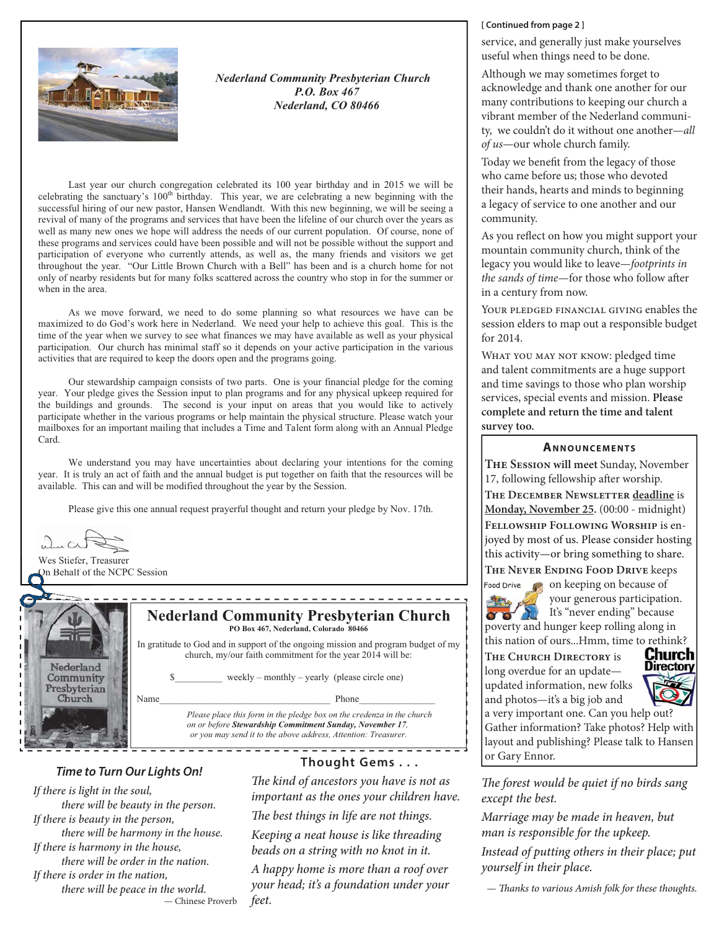

**Nederland Community Presbyterian Church** P.O. Box 467 Nederland, CO 80466

Last year our church congregation celebrated its 100 year birthday and in 2015 we will be celebrating the sanctuary's 100<sup>th</sup> birthday. This year, we are celebrating a new beginning with the successful hiring of our new pastor, Hansen Wendlandt. With this new beginning, we will be seeing a revival of many of the programs and services that have been the lifeline of our church over the years as well as many new ones we hope will address the needs of our current population. Of course, none of these programs and services could have been possible and will not be possible without the support and participation of everyone who currently attends, as well as, the many friends and visitors we get throughout the year. "Our Little Brown Church with a Bell" has been and is a church home for not only of nearby residents but for many folks scattered across the country who stop in for the summer or when in the area.

As we move forward, we need to do some planning so what resources we have can be maximized to do God's work here in Nederland. We need your help to achieve this goal. This is the time of the year when we survey to see what finances we may have available as well as your physical participation. Our church has minimal staff so it depends on your active participation in the various activities that are required to keep the doors open and the programs going.

Our stewardship campaign consists of two parts. One is your financial pledge for the coming year. Your pledge gives the Session input to plan programs and for any physical upkeep required for the buildings and grounds. The second is your input on areas that you would like to actively participate whether in the various programs or help maintain the physical structure. Please watch your mailboxes for an important mailing that includes a Time and Talent form along with an Annual Pledge Card.

We understand you may have uncertainties about declaring your intentions for the coming year. It is truly an act of faith and the annual budget is put together on faith that the resources will be available. This can and will be modified throughout the year by the Session.

Please give this one annual request prayerful thought and return your pledge by Nov. 17th.

uhn Cr

Wes Stiefer, Treasurer On Behalf of the NCPC Session



**Nederland Community Presbyterian Church** PO Box 467, Nederland, Colorado 80466

In gratitude to God and in support of the ongoing mission and program budget of my church, my/our faith commitment for the year 2014 will be:

weekly – monthly – yearly (please circle one)

Phone

Please place this form in the pledge box on the credenza in the church on or before Stewardship Commitment Sunday, November 17, or you may send it to the above address, Attention: Treasurer.

## **Time to Turn Our Lights On!**

Name

If there is light in the soul, there will be beauty in the person. If there is beauty in the person, there will be harmony in the house. If there is harmony in the house, there will be order in the nation. If there is order in the nation, there will be peace in the world. - Chinese Proverb

# Thought Gems . . .

<del>. . . . . . . . . . . . . .</del> .

The kind of ancestors you have is not as important as the ones your children have.

The best things in life are not things.

Keeping a neat house is like threading beads on a string with no knot in it.

A happy home is more than a roof over your head; it's a foundation under your feet.

#### [Continued from page 2]

service, and generally just make yourselves useful when things need to be done.

Although we may sometimes forget to acknowledge and thank one another for our many contributions to keeping our church a vibrant member of the Nederland community, we couldn't do it without one another-all of us-our whole church family.

Today we benefit from the legacy of those who came before us; those who devoted their hands, hearts and minds to beginning a legacy of service to one another and our community.

As you reflect on how you might support your mountain community church, think of the legacy you would like to leave-footprints in the sands of time-for those who follow after in a century from now.

YOUR PLEDGED FINANCIAL GIVING enables the session elders to map out a responsible budget for 2014.

WHAT YOU MAY NOT KNOW: pledged time and talent commitments are a huge support and time savings to those who plan worship services, special events and mission. Please complete and return the time and talent survey too.

#### **ANNOUNCEMENTS**

THE SESSION will meet Sunday, November 17, following fellowship after worship. THE DECEMBER NEWSLETTER deadline is Monday, November 25. (00:00 - midnight) FELLOWSHIP FOLLOWING WORSHIP is enjoyed by most of us. Please consider hosting this activity-or bring something to share.

THE NEVER ENDING FOOD DRIVE keeps

Food Drive **Come** on keeping on because of your generous participation.  $\sigma \sigma'$ It's "never ending" because poverty and hunger keep rolling along in this nation of ours...Hmm, time to rethink?

THE CHURCH DIRECTORY is long overdue for an updateupdated information, new folks and photos-it's a big job and a very important one. Can you help out?



Gather information? Take photos? Help with layout and publishing? Please talk to Hansen or Gary Ennor.

The forest would be quiet if no birds sang except the best.

Marriage may be made in heaven, but man is responsible for the upkeep.

Instead of putting others in their place; put vourself in their place.

- Thanks to various Amish folk for these thoughts.